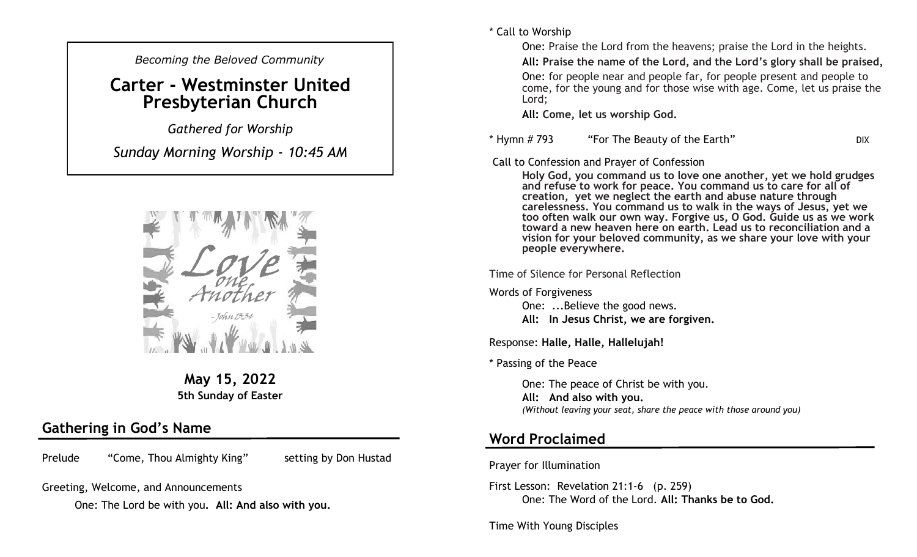*Becoming the Beloved Community* 

# **Carter - Westminster United Presbyterian Church**

*Gathered for Worship* 

*Sunday Morning Worship - 10:45 AM*



**May 15, 2022 5th Sunday of Easter**

## **Gathering in God's Name**

Prelude "Come, Thou Almighty King" setting by Don Hustad

Greeting, Welcome, and Announcements

One: The Lord be with you**. All: And also with you.**

\* Call to Worship

One: Praise the Lord from the heavens; praise the Lord in the heights.

**All: Praise the name of the Lord, and the Lord's glory shall be praised,**

One: for people near and people far, for people present and people to come, for the young and for those wise with age. Come, let us praise the Lord;

**All: Come, let us worship God.**

#### \* Hymn # 793 "For The Beauty of the Earth" DIX

Call to Confession and Prayer of Confession

**Holy God, you command us to love one another, yet we hold grudges and refuse to work for peace. You command us to care for all of creation, yet we neglect the earth and abuse nature through carelessness. You command us to walk in the ways of Jesus, yet we too often walk our own way. Forgive us, O God. Guide us as we work toward a new heaven here on earth. Lead us to reconciliation and a vision for your beloved community, as we share your love with your people everywhere.**

Time of Silence for Personal Reflection

Words of Forgiveness

One: ...Believe the good news. **All: In Jesus Christ, we are forgiven.** 

Response: **Halle, Halle, Hallelujah!**

\* Passing of the Peace

One: The peace of Christ be with you. **All: And also with you.**  *(Without leaving your seat, share the peace with those around you)*

### **Word Proclaimed**

Prayer for Illumination

First Lesson: Revelation 21:1-6 (p. 259) One: The Word of the Lord. **All: Thanks be to God.**

Time With Young Disciples